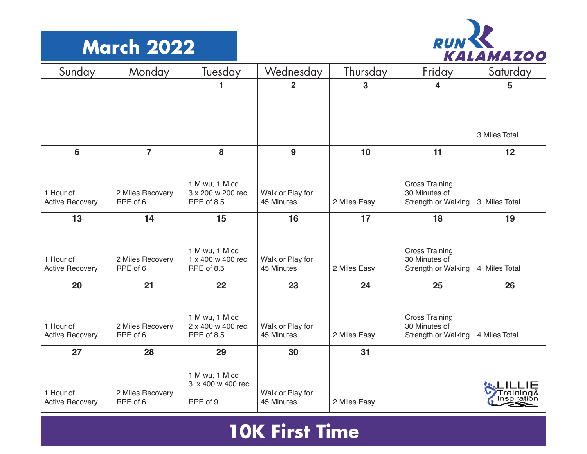## **March 2022**



| Sunday                              | Monday                       | Tuesday                              | Wednesday                      | Thursday     | Friday                               | Saturday      |
|-------------------------------------|------------------------------|--------------------------------------|--------------------------------|--------------|--------------------------------------|---------------|
|                                     |                              |                                      | 2                              | 3            | 4                                    | 5             |
|                                     |                              |                                      |                                |              |                                      |               |
|                                     |                              |                                      |                                |              |                                      |               |
|                                     |                              |                                      |                                |              |                                      | 3 Miles Total |
| 6                                   | $\overline{7}$               | 8                                    | 9                              | 10           | 11                                   | 12            |
|                                     |                              |                                      |                                |              |                                      |               |
|                                     |                              | 1 M wu, 1 M cd                       |                                |              | <b>Cross Training</b>                |               |
| 1 Hour of<br><b>Active Recovery</b> | 2 Miles Recovery<br>RPE of 6 | 3 x 200 w 200 rec.<br>RPE of 8.5     | Walk or Play for<br>45 Minutes | 2 Miles Easy | 30 Minutes of<br>Strength or Walking | 3 Miles Total |
| 13                                  | 14                           | 15                                   | 16                             | 17           | 18                                   | 19            |
|                                     |                              |                                      |                                |              |                                      |               |
|                                     |                              | 1 M wu, 1 M cd                       |                                |              | <b>Cross Training</b>                |               |
| 1 Hour of                           | 2 Miles Recovery             | 1 x 400 w 400 rec.                   | Walk or Play for               |              | 30 Minutes of                        |               |
| <b>Active Recovery</b>              | RPE of 6                     | RPE of 8.5                           | 45 Minutes                     | 2 Miles Easy | Strength or Walking                  | 4 Miles Total |
| 20                                  | 21                           | 22                                   | 23                             | 24           | 25                                   | 26            |
|                                     |                              |                                      |                                |              |                                      |               |
|                                     |                              | 1 M wu, 1 M cd                       |                                |              | <b>Cross Training</b>                |               |
| 1 Hour of<br><b>Active Recovery</b> | 2 Miles Recovery<br>RPE of 6 | 2 x 400 w 400 rec.<br>RPE of 8.5     | Walk or Play for<br>45 Minutes | 2 Miles Easy | 30 Minutes of<br>Strength or Walking | 4 Miles Total |
| 27                                  | 28                           | 29                                   | 30                             | 31           |                                      |               |
|                                     |                              |                                      |                                |              |                                      |               |
|                                     |                              | 1 M wu, 1 M cd<br>3 x 400 w 400 rec. |                                |              |                                      |               |
| 1 Hour of                           | 2 Miles Recovery             |                                      | Walk or Play for               |              |                                      |               |
| <b>Active Recovery</b>              | RPE of 6                     | RPE of 9                             | 45 Minutes                     | 2 Miles Easy |                                      |               |

## **10K First Time**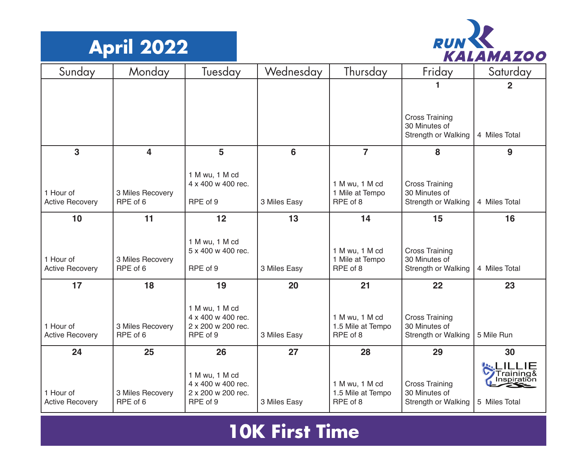



| Sunday                              | Monday                       | Tuesday                                                    | Wednesday    | Thursday                            | Friday                                 | Saturday                 |
|-------------------------------------|------------------------------|------------------------------------------------------------|--------------|-------------------------------------|----------------------------------------|--------------------------|
|                                     |                              |                                                            |              |                                     |                                        | $\mathbf 2$              |
|                                     |                              |                                                            |              |                                     |                                        |                          |
|                                     |                              |                                                            |              |                                     | <b>Cross Training</b>                  |                          |
|                                     |                              |                                                            |              |                                     | 30 Minutes of<br>Strength or Walking   | 4 Miles Total            |
| 3                                   | $\overline{\mathbf{4}}$      | 5                                                          | 6            | $\overline{7}$                      | 8                                      | 9                        |
|                                     |                              | 1 M wu, 1 M cd                                             |              |                                     |                                        |                          |
| 1 Hour of                           | 3 Miles Recovery             | 4 x 400 w 400 rec.                                         |              | 1 M wu, 1 M cd<br>1 Mile at Tempo   | <b>Cross Training</b><br>30 Minutes of |                          |
| <b>Active Recovery</b>              | RPE of 6                     | RPE of 9                                                   | 3 Miles Easy | RPE of 8                            | Strength or Walking                    | 4 Miles Total            |
| 10                                  | 11                           | 12                                                         | 13           | 14                                  | 15                                     | 16                       |
|                                     |                              | 1 M wu, 1 M cd                                             |              |                                     |                                        |                          |
|                                     |                              | 5 x 400 w 400 rec.                                         |              | 1 M wu, 1 M cd                      | <b>Cross Training</b>                  |                          |
| 1 Hour of<br><b>Active Recovery</b> | 3 Miles Recovery<br>RPE of 6 | RPE of 9                                                   | 3 Miles Easy | 1 Mile at Tempo<br>RPE of 8         | 30 Minutes of<br>Strength or Walking   | 4 Miles Total            |
| 17                                  | 18                           | 19                                                         | 20           | 21                                  | 22                                     | 23                       |
|                                     |                              | 1 M wu, 1 M cd                                             |              |                                     |                                        |                          |
| 1 Hour of                           | 3 Miles Recovery             | 4 x 400 w 400 rec.<br>2 x 200 w 200 rec.                   |              | 1 M wu, 1 M cd<br>1.5 Mile at Tempo | <b>Cross Training</b><br>30 Minutes of |                          |
| <b>Active Recovery</b>              | RPE of 6                     | RPE of 9                                                   | 3 Miles Easy | RPE of 8                            | Strength or Walking                    | 5 Mile Run               |
| 24                                  | 25                           | 26                                                         | 27           | 28                                  | 29                                     | 30                       |
| 1 Hour of                           | 3 Miles Recovery             | 1 M wu, 1 M cd<br>4 x 400 w 400 rec.<br>2 x 200 w 200 rec. |              | 1 M wu, 1 M cd<br>1.5 Mile at Tempo | <b>Cross Training</b><br>30 Minutes of | Training&<br>Inspiration |
| <b>Active Recovery</b>              | RPE of 6                     | RPE of 9                                                   | 3 Miles Easy | RPE of 8                            | Strength or Walking                    | 5 Miles Total            |

## **10K First Time**